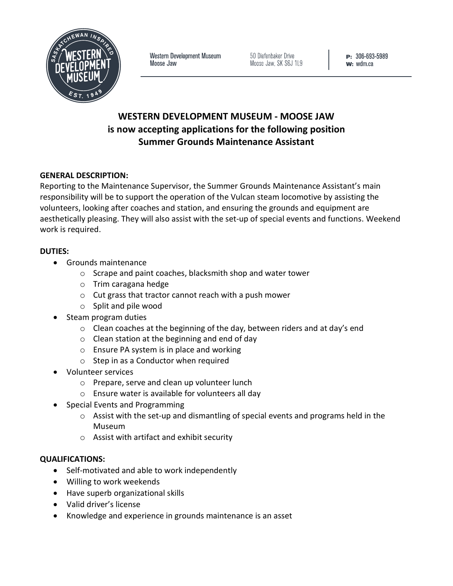

Western Development Museum Moose Jaw

50 Diefenbaker Drive Moose Jaw, SK S6J 1L9 P: 306-693-5989  $w:$  wdm.ca

# **WESTERN DEVELOPMENT MUSEUM - MOOSE JAW is now accepting applications for the following position Summer Grounds Maintenance Assistant**

## **GENERAL DESCRIPTION:**

Reporting to the Maintenance Supervisor, the Summer Grounds Maintenance Assistant's main responsibility will be to support the operation of the Vulcan steam locomotive by assisting the volunteers, looking after coaches and station, and ensuring the grounds and equipment are aesthetically pleasing. They will also assist with the set-up of special events and functions. Weekend work is required.

#### **DUTIES:**

- Grounds maintenance
	- o Scrape and paint coaches, blacksmith shop and water tower
	- o Trim caragana hedge
	- o Cut grass that tractor cannot reach with a push mower
	- o Split and pile wood
- Steam program duties
	- $\circ$  Clean coaches at the beginning of the day, between riders and at day's end
	- o Clean station at the beginning and end of day
	- o Ensure PA system is in place and working
	- o Step in as a Conductor when required
- Volunteer services
	- o Prepare, serve and clean up volunteer lunch
	- o Ensure water is available for volunteers all day
- Special Events and Programming
	- $\circ$  Assist with the set-up and dismantling of special events and programs held in the Museum
	- o Assist with artifact and exhibit security

#### **QUALIFICATIONS:**

- Self-motivated and able to work independently
- Willing to work weekends
- Have superb organizational skills
- Valid driver's license
- Knowledge and experience in grounds maintenance is an asset